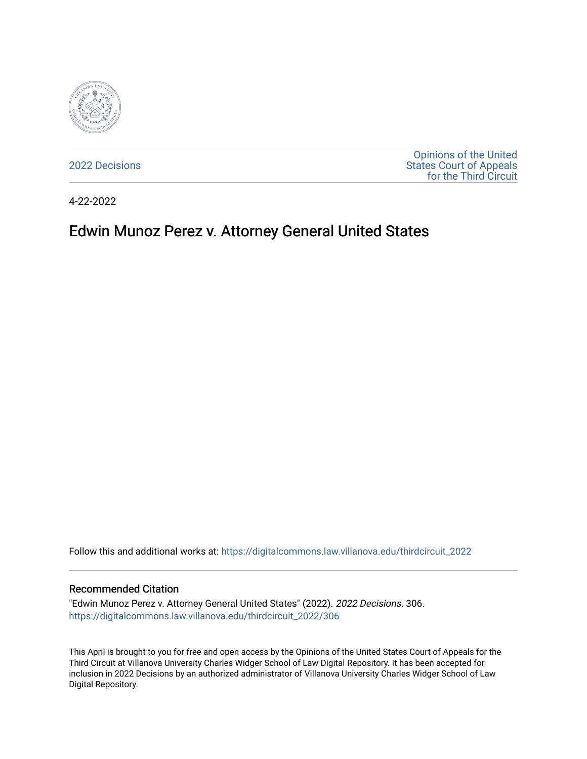

[2022 Decisions](https://digitalcommons.law.villanova.edu/thirdcircuit_2022)

[Opinions of the United](https://digitalcommons.law.villanova.edu/thirdcircuit)  [States Court of Appeals](https://digitalcommons.law.villanova.edu/thirdcircuit)  [for the Third Circuit](https://digitalcommons.law.villanova.edu/thirdcircuit) 

4-22-2022

# Edwin Munoz Perez v. Attorney General United States

Follow this and additional works at: [https://digitalcommons.law.villanova.edu/thirdcircuit\\_2022](https://digitalcommons.law.villanova.edu/thirdcircuit_2022?utm_source=digitalcommons.law.villanova.edu%2Fthirdcircuit_2022%2F306&utm_medium=PDF&utm_campaign=PDFCoverPages) 

#### Recommended Citation

"Edwin Munoz Perez v. Attorney General United States" (2022). 2022 Decisions. 306. [https://digitalcommons.law.villanova.edu/thirdcircuit\\_2022/306](https://digitalcommons.law.villanova.edu/thirdcircuit_2022/306?utm_source=digitalcommons.law.villanova.edu%2Fthirdcircuit_2022%2F306&utm_medium=PDF&utm_campaign=PDFCoverPages)

This April is brought to you for free and open access by the Opinions of the United States Court of Appeals for the Third Circuit at Villanova University Charles Widger School of Law Digital Repository. It has been accepted for inclusion in 2022 Decisions by an authorized administrator of Villanova University Charles Widger School of Law Digital Repository.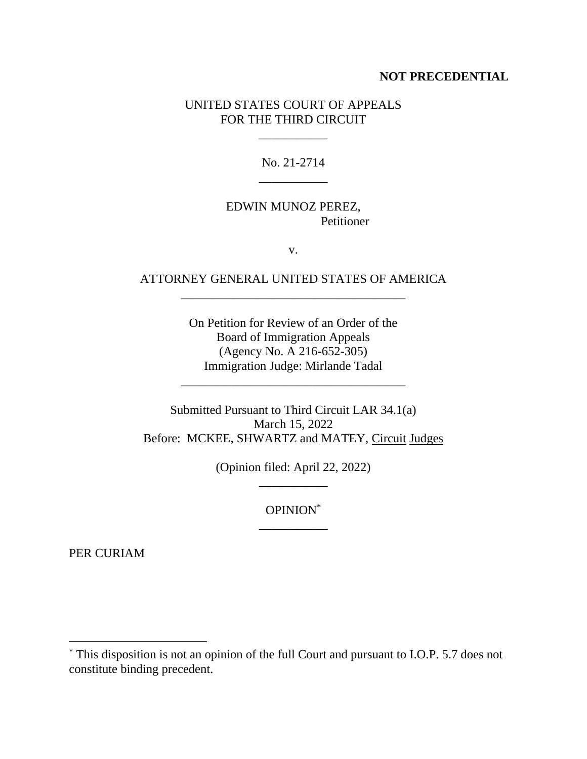#### **NOT PRECEDENTIAL**

# UNITED STATES COURT OF APPEALS FOR THE THIRD CIRCUIT

\_\_\_\_\_\_\_\_\_\_\_

No. 21-2714 \_\_\_\_\_\_\_\_\_\_\_

# EDWIN MUNOZ PEREZ, Petitioner

v.

# ATTORNEY GENERAL UNITED STATES OF AMERICA \_\_\_\_\_\_\_\_\_\_\_\_\_\_\_\_\_\_\_\_\_\_\_\_\_\_\_\_\_\_\_\_\_\_\_\_

On Petition for Review of an Order of the Board of Immigration Appeals (Agency No. A 216-652-305) Immigration Judge: Mirlande Tadal

\_\_\_\_\_\_\_\_\_\_\_\_\_\_\_\_\_\_\_\_\_\_\_\_\_\_\_\_\_\_\_\_\_\_\_\_

Submitted Pursuant to Third Circuit LAR 34.1(a) March 15, 2022 Before: MCKEE, SHWARTZ and MATEY, Circuit Judges

> (Opinion filed: April 22, 2022) \_\_\_\_\_\_\_\_\_\_\_

> > OPINION\* \_\_\_\_\_\_\_\_\_\_\_

PER CURIAM

<sup>\*</sup> This disposition is not an opinion of the full Court and pursuant to I.O.P. 5.7 does not constitute binding precedent.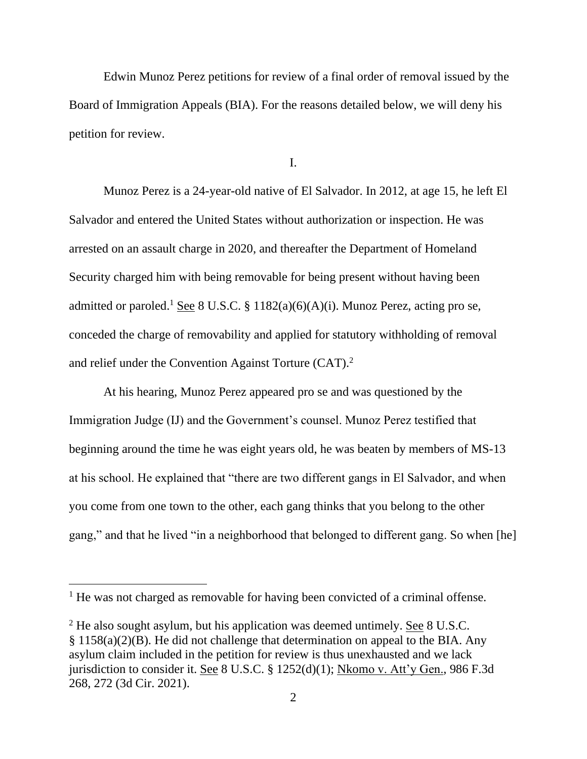Edwin Munoz Perez petitions for review of a final order of removal issued by the Board of Immigration Appeals (BIA). For the reasons detailed below, we will deny his petition for review.

I.

Munoz Perez is a 24-year-old native of El Salvador. In 2012, at age 15, he left El Salvador and entered the United States without authorization or inspection. He was arrested on an assault charge in 2020, and thereafter the Department of Homeland Security charged him with being removable for being present without having been admitted or paroled.<sup>1</sup> See 8 U.S.C. § 1182(a)(6)(A)(i). Munoz Perez, acting pro se, conceded the charge of removability and applied for statutory withholding of removal and relief under the Convention Against Torture (CAT).<sup>2</sup>

At his hearing, Munoz Perez appeared pro se and was questioned by the Immigration Judge (IJ) and the Government's counsel. Munoz Perez testified that beginning around the time he was eight years old, he was beaten by members of MS-13 at his school. He explained that "there are two different gangs in El Salvador, and when you come from one town to the other, each gang thinks that you belong to the other gang," and that he lived "in a neighborhood that belonged to different gang. So when [he]

<sup>&</sup>lt;sup>1</sup> He was not charged as removable for having been convicted of a criminal offense.

<sup>&</sup>lt;sup>2</sup> He also sought asylum, but his application was deemed untimely. See 8 U.S.C. § 1158(a)(2)(B). He did not challenge that determination on appeal to the BIA. Any asylum claim included in the petition for review is thus unexhausted and we lack jurisdiction to consider it. See 8 U.S.C. § 1252(d)(1); Nkomo v. Att'y Gen., 986 F.3d 268, 272 (3d Cir. 2021).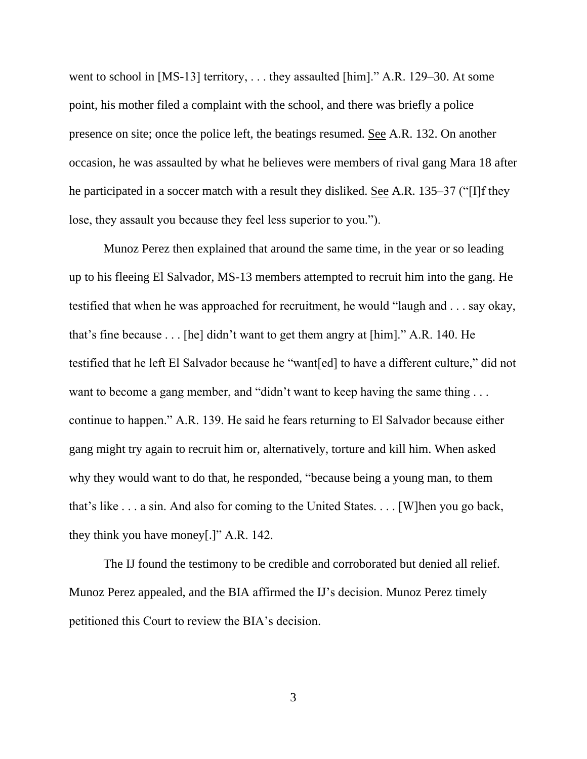went to school in [MS-13] territory, . . . they assaulted [him]." A.R. 129–30. At some point, his mother filed a complaint with the school, and there was briefly a police presence on site; once the police left, the beatings resumed. See A.R. 132. On another occasion, he was assaulted by what he believes were members of rival gang Mara 18 after he participated in a soccer match with a result they disliked. See A.R. 135–37 ("[I]f they lose, they assault you because they feel less superior to you.").

Munoz Perez then explained that around the same time, in the year or so leading up to his fleeing El Salvador, MS-13 members attempted to recruit him into the gang. He testified that when he was approached for recruitment, he would "laugh and . . . say okay, that's fine because . . . [he] didn't want to get them angry at [him]." A.R. 140. He testified that he left El Salvador because he "want[ed] to have a different culture," did not want to become a gang member, and "didn't want to keep having the same thing ... continue to happen." A.R. 139. He said he fears returning to El Salvador because either gang might try again to recruit him or, alternatively, torture and kill him. When asked why they would want to do that, he responded, "because being a young man, to them that's like . . . a sin. And also for coming to the United States. . . . [W]hen you go back, they think you have money[.]" A.R. 142.

The IJ found the testimony to be credible and corroborated but denied all relief. Munoz Perez appealed, and the BIA affirmed the IJ's decision. Munoz Perez timely petitioned this Court to review the BIA's decision.

3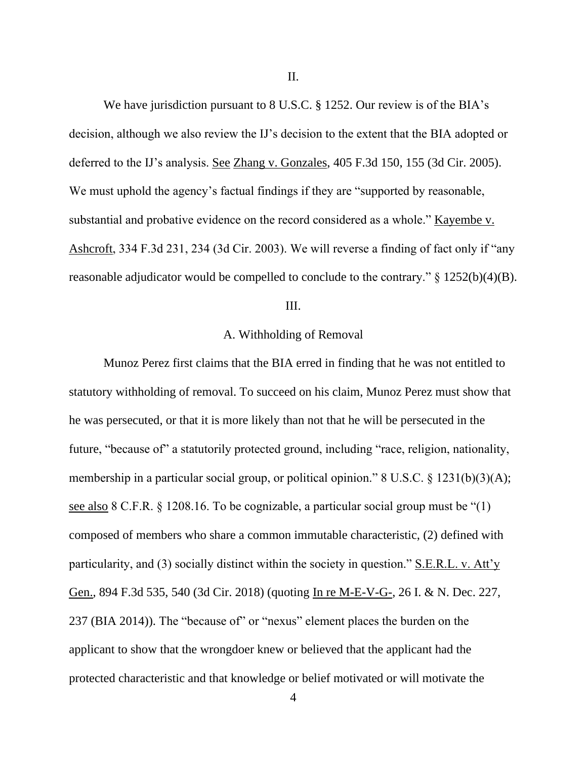II.

We have jurisdiction pursuant to 8 U.S.C. § 1252. Our review is of the BIA's decision, although we also review the IJ's decision to the extent that the BIA adopted or deferred to the IJ's analysis. <u>See Zhang v. Gonzales</u>, 405 F.3d 150, 155 (3d Cir. 2005). We must uphold the agency's factual findings if they are "supported by reasonable, substantial and probative evidence on the record considered as a whole." Kayembe v. Ashcroft, 334 F.3d 231, 234 (3d Cir. 2003). We will reverse a finding of fact only if "any reasonable adjudicator would be compelled to conclude to the contrary."  $\S$  1252(b)(4)(B).

#### III.

## A. Withholding of Removal

Munoz Perez first claims that the BIA erred in finding that he was not entitled to statutory withholding of removal. To succeed on his claim, Munoz Perez must show that he was persecuted, or that it is more likely than not that he will be persecuted in the future, "because of" a statutorily protected ground, including "race, religion, nationality, membership in a particular social group, or political opinion." 8 U.S.C. § 1231(b)(3)(A); see also 8 C.F.R. § 1208.16. To be cognizable, a particular social group must be "(1) composed of members who share a common immutable characteristic, (2) defined with particularity, and (3) socially distinct within the society in question." S.E.R.L. v. Att'y Gen., 894 F.3d 535, 540 (3d Cir. 2018) (quoting In re M-E-V-G-, 26 I. & N. Dec. 227, 237 (BIA 2014)). The "because of" or "nexus" element places the burden on the applicant to show that the wrongdoer knew or believed that the applicant had the protected characteristic and that knowledge or belief motivated or will motivate the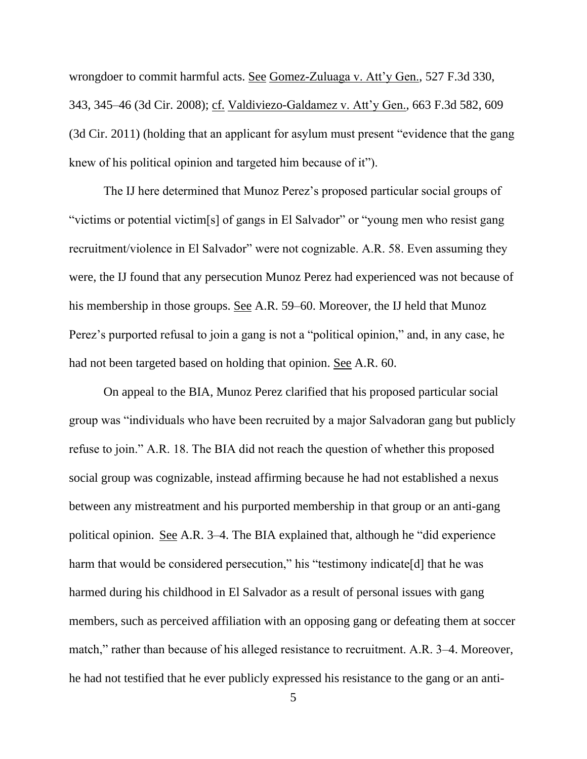wrongdoer to commit harmful acts. See Gomez-Zuluaga v. Att'y Gen., 527 F.3d 330, 343, 345–46 (3d Cir. 2008); cf. Valdiviezo-Galdamez v. Att'y Gen., 663 F.3d 582, 609 (3d Cir. 2011) (holding that an applicant for asylum must present "evidence that the gang knew of his political opinion and targeted him because of it").

The IJ here determined that Munoz Perez's proposed particular social groups of "victims or potential victim[s] of gangs in El Salvador" or "young men who resist gang recruitment/violence in El Salvador" were not cognizable. A.R. 58. Even assuming they were, the IJ found that any persecution Munoz Perez had experienced was not because of his membership in those groups. See A.R. 59–60. Moreover, the IJ held that Munoz Perez's purported refusal to join a gang is not a "political opinion," and, in any case, he had not been targeted based on holding that opinion. See A.R. 60.

On appeal to the BIA, Munoz Perez clarified that his proposed particular social group was "individuals who have been recruited by a major Salvadoran gang but publicly refuse to join." A.R. 18. The BIA did not reach the question of whether this proposed social group was cognizable, instead affirming because he had not established a nexus between any mistreatment and his purported membership in that group or an anti-gang political opinion. See A.R. 3–4. The BIA explained that, although he "did experience harm that would be considered persecution," his "testimony indicate<sup>[d]</sup> that he was harmed during his childhood in El Salvador as a result of personal issues with gang members, such as perceived affiliation with an opposing gang or defeating them at soccer match," rather than because of his alleged resistance to recruitment. A.R. 3–4. Moreover, he had not testified that he ever publicly expressed his resistance to the gang or an anti-

5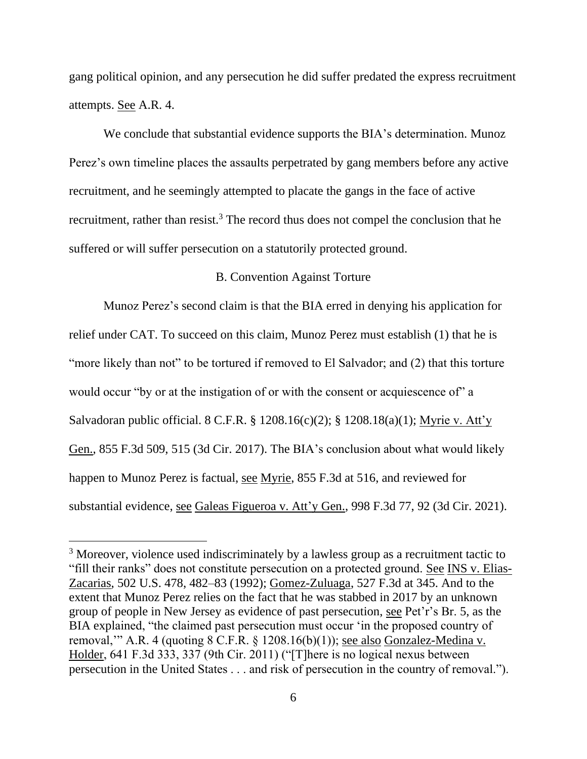gang political opinion, and any persecution he did suffer predated the express recruitment attempts. See A.R. 4.

We conclude that substantial evidence supports the BIA's determination. Munoz Perez's own timeline places the assaults perpetrated by gang members before any active recruitment, and he seemingly attempted to placate the gangs in the face of active recruitment, rather than resist.<sup>3</sup> The record thus does not compel the conclusion that he suffered or will suffer persecution on a statutorily protected ground.

## B. Convention Against Torture

Munoz Perez's second claim is that the BIA erred in denying his application for relief under CAT. To succeed on this claim, Munoz Perez must establish (1) that he is "more likely than not" to be tortured if removed to El Salvador; and (2) that this torture would occur "by or at the instigation of or with the consent or acquiescence of" a Salvadoran public official. 8 C.F.R. § 1208.16(c)(2); § 1208.18(a)(1); Myrie v. Att'y Gen., 855 F.3d 509, 515 (3d Cir. 2017). The BIA's conclusion about what would likely happen to Munoz Perez is factual, see Myrie, 855 F.3d at 516, and reviewed for substantial evidence, see Galeas Figueroa v. Att'y Gen., 998 F.3d 77, 92 (3d Cir. 2021).

<sup>&</sup>lt;sup>3</sup> Moreover, violence used indiscriminately by a lawless group as a recruitment tactic to "fill their ranks" does not constitute persecution on a protected ground. See INS v. Elias-Zacarias, 502 U.S. 478, 482–83 (1992); Gomez-Zuluaga, 527 F.3d at 345. And to the extent that Munoz Perez relies on the fact that he was stabbed in 2017 by an unknown group of people in New Jersey as evidence of past persecution, see Pet'r's Br. 5, as the BIA explained, "the claimed past persecution must occur 'in the proposed country of removal," A.R. 4 (quoting  $8$  C.F.R.  $\S$  1208.16(b)(1)); see also Gonzalez-Medina v. Holder, 641 F.3d 333, 337 (9th Cir. 2011) ("[T]here is no logical nexus between persecution in the United States . . . and risk of persecution in the country of removal.").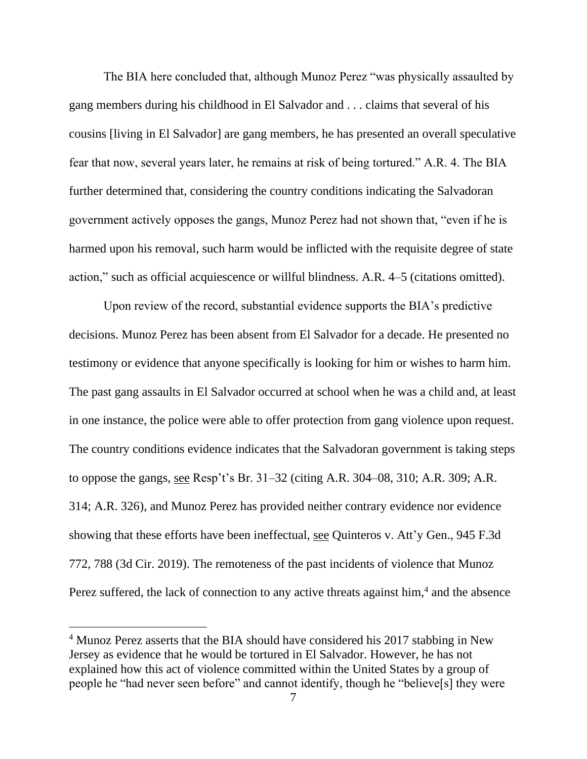The BIA here concluded that, although Munoz Perez "was physically assaulted by gang members during his childhood in El Salvador and . . . claims that several of his cousins [living in El Salvador] are gang members, he has presented an overall speculative fear that now, several years later, he remains at risk of being tortured." A.R. 4. The BIA further determined that, considering the country conditions indicating the Salvadoran government actively opposes the gangs, Munoz Perez had not shown that, "even if he is harmed upon his removal, such harm would be inflicted with the requisite degree of state action," such as official acquiescence or willful blindness. A.R. 4–5 (citations omitted).

Upon review of the record, substantial evidence supports the BIA's predictive decisions. Munoz Perez has been absent from El Salvador for a decade. He presented no testimony or evidence that anyone specifically is looking for him or wishes to harm him. The past gang assaults in El Salvador occurred at school when he was a child and, at least in one instance, the police were able to offer protection from gang violence upon request. The country conditions evidence indicates that the Salvadoran government is taking steps to oppose the gangs, see Resp't's Br. 31–32 (citing A.R. 304–08, 310; A.R. 309; A.R. 314; A.R. 326), and Munoz Perez has provided neither contrary evidence nor evidence showing that these efforts have been ineffectual, see Quinteros v. Att'y Gen., 945 F.3d 772, 788 (3d Cir. 2019). The remoteness of the past incidents of violence that Munoz Perez suffered, the lack of connection to any active threats against him,<sup>4</sup> and the absence

<sup>&</sup>lt;sup>4</sup> Munoz Perez asserts that the BIA should have considered his 2017 stabbing in New Jersey as evidence that he would be tortured in El Salvador. However, he has not explained how this act of violence committed within the United States by a group of people he "had never seen before" and cannot identify, though he "believe[s] they were